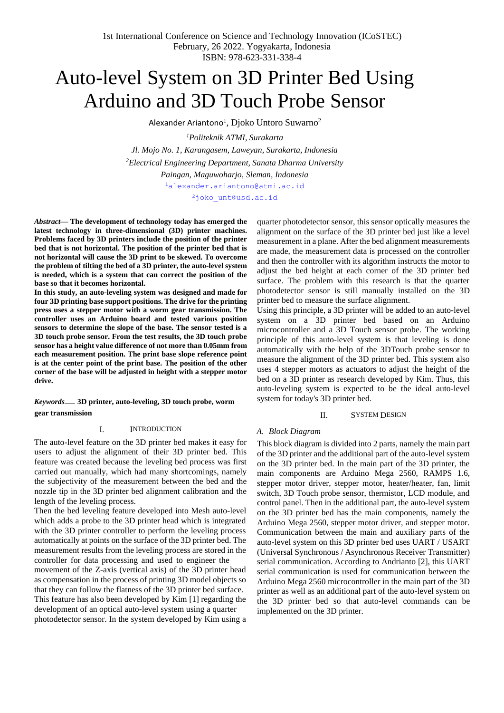# Auto-level System on 3D Printer Bed Using Arduino and 3D Touch Probe Sensor

Alexander Ariantono $^{\rm l}$ ,  ${\rm Dioko\;Untoro\;Suwarno^2}$ 

*<sup>1</sup>Politeknik ATMI, Surakarta Jl. Mojo No. 1, Karangasem, Laweyan, Surakarta, Indonesia <sup>2</sup>Electrical Engineering Department, Sanata Dharma University Paingan, Maguwoharjo, Sleman, Indonesia*

[1](mailto:1alexander.ariantono@atmi.ac.id)[alexander.ariantono@atmi.ac.id](mailto:alexander.ariantono@atmi.ac.id)

[2](mailto:2joko_unt@usd.ac.id)[joko\\_unt@usd.ac.id](mailto:joko_unt@usd.ac.id)

*Abstract***— The development of technology today has emerged the latest technology in three-dimensional (3D) printer machines. Problems faced by 3D printers include the position of the printer bed that is not horizontal. The position of the printer bed that is not horizontal will cause the 3D print to be skewed. To overcome the problem of tilting the bed of a 3D printer, the auto-level system is needed, which is a system that can correct the position of the base so that it becomes horizontal.**

**In this study, an auto-leveling system was designed and made for four 3D printing base support positions. The drive for the printing press uses a stepper motor with a worm gear transmission. The controller uses an Arduino board and tested various position sensors to determine the slope of the base. The sensor tested is a 3D touch probe sensor. From the test results, the 3D touch probe sensor has a height value difference of not more than 0.05mm from each measurement position. The print base slope reference point is at the center point of the print base. The position of the other corner of the base will be adjusted in height with a stepper motor drive.**

*Keywords*— **3D printer, auto-leveling, 3D touch probe, worm gear transmission**

#### I. INTRODUCTION

The auto-level feature on the 3D printer bed makes it easy for users to adjust the alignment of their 3D printer bed. This feature was created because the leveling bed process was first carried out manually, which had many shortcomings, namely the subjectivity of the measurement between the bed and the nozzle tip in the 3D printer bed alignment calibration and the length of the leveling process.

Then the bed leveling feature developed into Mesh auto-level which adds a probe to the 3D printer head which is integrated with the 3D printer controller to perform the leveling process automatically at points on the surface of the 3D printer bed. The measurement results from the leveling process are stored in the controller for data processing and used to engineer the movement of the Z-axis (vertical axis) of the 3D printer head as compensation in the process of printing 3D model objects so that they can follow the flatness of the 3D printer bed surface. This feature has also been developed by Kim [1] regarding the development of an optical auto-level system using a quarter photodetector sensor. In the system developed by Kim using a quarter photodetector sensor, this sensor optically measures the alignment on the surface of the 3D printer bed just like a level measurement in a plane. After the bed alignment measurements are made, the measurement data is processed on the controller and then the controller with its algorithm instructs the motor to adjust the bed height at each corner of the 3D printer bed surface. The problem with this research is that the quarter photodetector sensor is still manually installed on the 3D printer bed to measure the surface alignment.

Using this principle, a 3D printer will be added to an auto-level system on a 3D printer bed based on an Arduino microcontroller and a 3D Touch sensor probe. The working principle of this auto-level system is that leveling is done automatically with the help of the 3DTouch probe sensor to measure the alignment of the 3D printer bed. This system also uses 4 stepper motors as actuators to adjust the height of the bed on a 3D printer as research developed by Kim. Thus, this auto-leveling system is expected to be the ideal auto-level system for today's 3D printer bed.

### II. SYSTEM DESIGN

## *A. Block Diagram*

This block diagram is divided into 2 parts, namely the main part of the 3D printer and the additional part of the auto-level system on the 3D printer bed. In the main part of the 3D printer, the main components are Arduino Mega 2560, RAMPS 1.6, stepper motor driver, stepper motor, heater/heater, fan, limit switch, 3D Touch probe sensor, thermistor, LCD module, and control panel. Then in the additional part, the auto-level system on the 3D printer bed has the main components, namely the Arduino Mega 2560, stepper motor driver, and stepper motor. Communication between the main and auxiliary parts of the auto-level system on this 3D printer bed uses UART / USART (Universal Synchronous / Asynchronous Receiver Transmitter) serial communication. According to Andrianto [2], this UART serial communication is used for communication between the Arduino Mega 2560 microcontroller in the main part of the 3D printer as well as an additional part of the auto-level system on the 3D printer bed so that auto-level commands can be implemented on the 3D printer.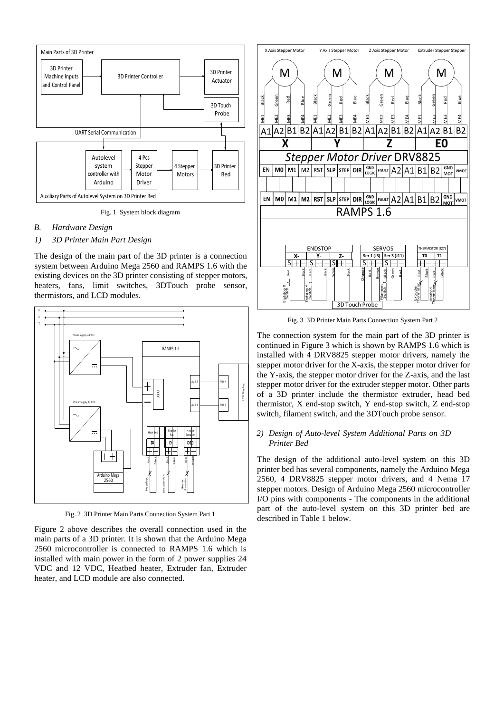

Fig. 1 System block diagram

## *B. Hardware Design*

*1) 3D Printer Main Part Design*

The design of the main part of the 3D printer is a connection system between Arduino Mega 2560 and RAMPS 1.6 with the existing devices on the 3D printer consisting of stepper motors, heaters, fans, limit switches, 3DTouch probe sensor, thermistors, and LCD modules.



Fig. 2 3D Printer Main Parts Connection System Part 1

Figure 2 above describes the overall connection used in the main parts of a 3D printer. It is shown that the Arduino Mega 2560 microcontroller is connected to RAMPS 1.6 which is installed with main power in the form of 2 power supplies 24 VDC and 12 VDC, Heatbed heater, Extruder fan, Extruder heater, and LCD module are also connected.



Fig. 3 3D Printer Main Parts Connection System Part 2

The connection system for the main part of the 3D printer is continued in Figure 3 which is shown by RAMPS 1.6 which is installed with 4 DRV8825 stepper motor drivers, namely the stepper motor driver for the X-axis, the stepper motor driver for the Y-axis, the stepper motor driver for the Z-axis, and the last stepper motor driver for the extruder stepper motor. Other parts of a 3D printer include the thermistor extruder, head bed thermistor, X end-stop switch, Y end-stop switch, Z end-stop switch, filament switch, and the 3DTouch probe sensor.

## *2) Design of Auto-level System Additional Parts on 3D Printer Bed*

The design of the additional auto-level system on this 3D printer bed has several components, namely the Arduino Mega 2560, 4 DRV8825 stepper motor drivers, and 4 Nema 17 stepper motors. Design of Arduino Mega 2560 microcontroller I/O pins with components - The components in the additional part of the auto-level system on this 3D printer bed are described in Table 1 below.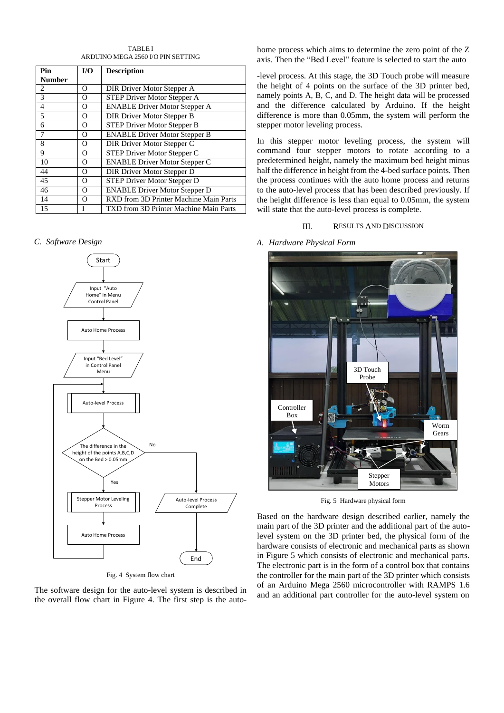TABLE I ARDUINO MEGA 2560 I/O PIN SETTING

| Pin            | I/O | <b>Description</b>                     |
|----------------|-----|----------------------------------------|
| <b>Number</b>  |     |                                        |
| 2              | Ω   | DIR Driver Motor Stepper A             |
| 3              | Ω   | STEP Driver Motor Stepper A            |
| $\overline{4}$ | O   | <b>ENABLE Driver Motor Stepper A</b>   |
| 5              | Ω   | DIR Driver Motor Stepper B             |
| 6              | Ω   | STEP Driver Motor Stepper B            |
| $\overline{7}$ | O   | <b>ENABLE Driver Motor Stepper B</b>   |
| 8              | Ω   | DIR Driver Motor Stepper C             |
| 9              | Ω   | STEP Driver Motor Stepper C            |
| 10             | O   | <b>ENABLE Driver Motor Stepper C</b>   |
| 44             | Ω   | DIR Driver Motor Stepper D             |
| 45             | Ω   | STEP Driver Motor Stepper D            |
| 46             | O   | <b>ENABLE Driver Motor Stepper D</b>   |
| 14             | Ω   | RXD from 3D Printer Machine Main Parts |
| 15             | T   | TXD from 3D Printer Machine Main Parts |

## *C. Software Design*



Fig. 4 System flow chart

The software design for the auto-level system is described in the overall flow chart in Figure 4. The first step is the autohome process which aims to determine the zero point of the Z axis. Then the "Bed Level" feature is selected to start the auto

-level process. At this stage, the 3D Touch probe will measure the height of 4 points on the surface of the 3D printer bed, namely points A, B, C, and D. The height data will be processed and the difference calculated by Arduino. If the height difference is more than 0.05mm, the system will perform the stepper motor leveling process.

In this stepper motor leveling process, the system will command four stepper motors to rotate according to a predetermined height, namely the maximum bed height minus half the difference in height from the 4-bed surface points. Then the process continues with the auto home process and returns to the auto-level process that has been described previously. If the height difference is less than equal to 0.05mm, the system will state that the auto-level process is complete.

## III. RESULTS AND DISCUSSION

*A. Hardware Physical Form*



Fig. 5 Hardware physical form

Based on the hardware design described earlier, namely the main part of the 3D printer and the additional part of the autolevel system on the 3D printer bed, the physical form of the hardware consists of electronic and mechanical parts as shown in Figure 5 which consists of electronic and mechanical parts. The electronic part is in the form of a control box that contains the controller for the main part of the 3D printer which consists of an Arduino Mega 2560 microcontroller with RAMPS 1.6 and an additional part controller for the auto-level system on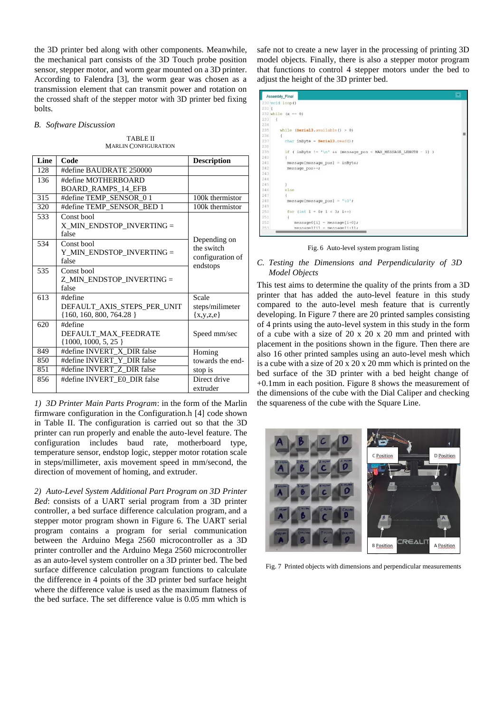the 3D printer bed along with other components. Meanwhile, the mechanical part consists of the 3D Touch probe position sensor, stepper motor, and worm gear mounted on a 3D printer. According to Falendra [3], the worm gear was chosen as a transmission element that can transmit power and rotation on the crossed shaft of the stepper motor with 3D printer bed fixing bolts.

#### *B. Software Discussion*

TABLE II MARLIN CONFIGURATION

| Line | Code                                                                  | <b>Description</b>                                         |
|------|-----------------------------------------------------------------------|------------------------------------------------------------|
| 128  | #define BAUDRATE 250000                                               |                                                            |
| 136  | #define MOTHERBOARD                                                   |                                                            |
|      | <b>BOARD RAMPS 14 EFB</b>                                             |                                                            |
| 315  | #define TEMP SENSOR 01                                                | 100k thermistor                                            |
| 320  | #define TEMP_SENSOR_BED 1                                             | 100k thermistor                                            |
| 533  | Const bool<br>X MIN ENDSTOP INVERTING =<br>false                      |                                                            |
| 534  | Const bool<br>Y_MIN_ENDSTOP_INVERTING =<br>false                      | Depending on<br>the switch<br>configuration of<br>endstops |
| 535  | Const bool<br>Z MIN ENDSTOP INVERTING =<br>false                      |                                                            |
| 613  | #define<br>DEFAULT AXIS STEPS PER UNIT<br>$\{160, 160, 800, 764.28\}$ | Scale<br>steps/milimeter<br>$\{x,y,z,e\}$                  |
| 620  | #define<br>DEFAULT MAX FEEDRATE<br>$\{1000, 1000, 5, 25\}$            | Speed mm/sec                                               |
| 849  | #define INVERT X DIR false                                            | Homing                                                     |
| 850  | #define INVERT Y DIR false                                            | towards the end-                                           |
| 851  | #define INVERT_Z_DIR false                                            | stop is                                                    |
| 856  | #define INVERT E0 DIR false                                           | Direct drive<br>extruder                                   |

*1) 3D Printer Main Parts Program*: in the form of the Marlin firmware configuration in the Configuration.h [4] code shown in Table II. The configuration is carried out so that the 3D printer can run properly and enable the auto-level feature. The configuration includes baud rate, motherboard type, temperature sensor, endstop logic, stepper motor rotation scale in steps/millimeter, axis movement speed in mm/second, the direction of movement of homing, and extruder.

*2) Auto-Level System Additional Part Program on 3D Printer Bed*: consists of a UART serial program from a 3D printer controller, a bed surface difference calculation program, and a stepper motor program shown in Figure 6. The UART serial program contains a program for serial communication between the Arduino Mega 2560 microcontroller as a 3D printer controller and the Arduino Mega 2560 microcontroller as an auto-level system controller on a 3D printer bed. The bed surface difference calculation program functions to calculate the difference in 4 points of the 3D printer bed surface height where the difference value is used as the maximum flatness of the bed surface. The set difference value is 0.05 mm which is

safe not to create a new layer in the processing of printing 3D model objects. Finally, there is also a stepper motor program that functions to control 4 stepper motors under the bed to adjust the height of the 3D printer bed.

|      | Assembly_Final                                                  |  |
|------|-----------------------------------------------------------------|--|
|      | 230 void loop ()                                                |  |
| 2311 |                                                                 |  |
|      | $232$ while $(x == 0)$                                          |  |
| 233  | $\left  \cdot \right $                                          |  |
| 234  |                                                                 |  |
| 235  | while $(Serial3.$ available() > 0)                              |  |
| 236  | $\overline{1}$                                                  |  |
| 237  | char in Byte = $Serial3.read()$ ;                               |  |
| 238  |                                                                 |  |
| 239  | if ( inByte != '\n' && (message pos < MAX MESSAGE LENGTH - 1) ) |  |
| 240  |                                                                 |  |
| 241  | $message[message pos] = inByte;$                                |  |
| 242  | message pos++;                                                  |  |
| 243  |                                                                 |  |
| 244  |                                                                 |  |
| 245  |                                                                 |  |
| 246  | else                                                            |  |
| 247  |                                                                 |  |
| 248  | message[message pos] = $'\0$ ';                                 |  |
| 249  |                                                                 |  |
| 250  | for (int $i = 0$ ; $i < 3$ ; $i++)$                             |  |
| 251  |                                                                 |  |
| 252  | $message0[i] = message[i+0];$                                   |  |
| 253  | $message11i1 = message1i+11;$                                   |  |

Fig. 6 Auto-level system program listing

## *C. Testing the Dimensions and Perpendicularity of 3D Model Objects*

This test aims to determine the quality of the prints from a 3D printer that has added the auto-level feature in this study compared to the auto-level mesh feature that is currently developing. In Figure 7 there are 20 printed samples consisting of 4 prints using the auto-level system in this study in the form of a cube with a size of 20 x 20 x 20 mm and printed with placement in the positions shown in the figure. Then there are also 16 other printed samples using an auto-level mesh which is a cube with a size of 20 x 20 x 20 mm which is printed on the bed surface of the 3D printer with a bed height change of +0.1mm in each position. Figure 8 shows the measurement of the dimensions of the cube with the Dial Caliper and checking the squareness of the cube with the Square Line.



Fig. 7 Printed objects with dimensions and perpendicular measurements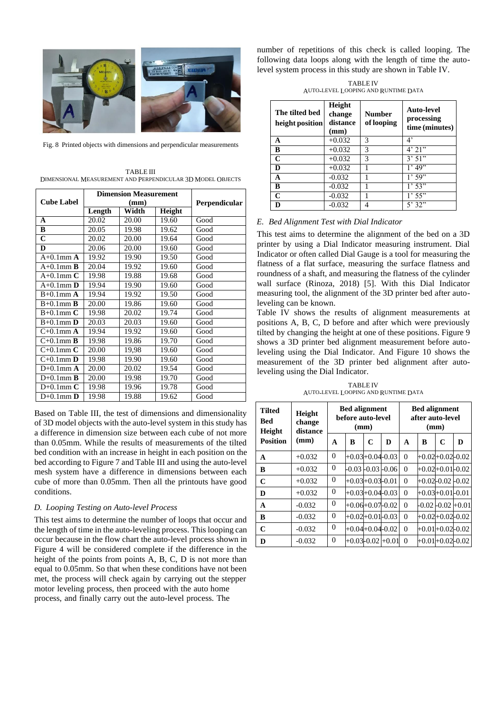

Fig. 8 Printed objects with dimensions and perpendicular measurements

| <b>TABLE III</b>                                           |  |
|------------------------------------------------------------|--|
| DIMENSIONAL MEASUREMENT AND PERPENDICULAR 3D MODEL OBJECTS |  |

|                     | <b>Dimension Measurement</b> |       |               |      |  |
|---------------------|------------------------------|-------|---------------|------|--|
| <b>Cube Label</b>   |                              | (mm)  | Perpendicular |      |  |
|                     | Length                       | Width | Height        |      |  |
| A                   | 20.02                        | 20.00 | 19.60         | Good |  |
| B                   | 20.05                        | 19.98 | 19.62         | Good |  |
| $\mathbf C$         | 20.02                        | 20.00 | 19.64         | Good |  |
| D                   | 20.06                        | 20.00 | 19.60         | Good |  |
| $A+0.1$ mm $A$      | 19.92                        | 19.90 | 19.50         | Good |  |
| $A+0.1$ mm <b>B</b> | 20.04                        | 19.92 | 19.60         | Good |  |
| A+0.1mm $C$         | 19.98                        | 19.88 | 19.68         | Good |  |
| $A+0.1$ mm $D$      | 19.94                        | 19.90 | 19.60         | Good |  |
| $B+0.1$ mm $A$      | 19.94                        | 19.92 | 19.50         | Good |  |
| $B+0.1$ mm $\bf{B}$ | 20.00                        | 19.86 | 19.60         | Good |  |
| $B+0.1$ mm $C$      | 19.98                        | 20.02 | 19.74         | Good |  |
| $B+0.1$ mm $D$      | 20.03                        | 20.03 | 19.60         | Good |  |
| $C+0.1$ mm $A$      | 19.94                        | 19.92 | 19.60         | Good |  |
| $C+0.1$ mm <b>B</b> | 19.98                        | 19.86 | 19.70         | Good |  |
| $C+0.1$ mm $C$      | 20.00                        | 19,98 | 19.60         | Good |  |
| $C+0.1$ mm $D$      | 19.98                        | 19.90 | 19.60         | Good |  |
| $D+0.1$ mm $A$      | 20.00                        | 20.02 | 19.54         | Good |  |
| $D+0.1$ mm $\bf{B}$ | 20.00                        | 19.98 | 19.70         | Good |  |
| $D+0.1$ mm $C$      | 19.98                        | 19.96 | 19.78         | Good |  |
| $D+0.1$ mm $D$      | 19.98                        | 19.88 | 19.62         | Good |  |

Based on Table III, the test of dimensions and dimensionality of 3D model objects with the auto-level system in this study has a difference in dimension size between each cube of not more than 0.05mm. While the results of measurements of the tilted bed condition with an increase in height in each position on the bed according to Figure 7 and Table III and using the auto-level mesh system have a difference in dimensions between each cube of more than 0.05mm. Then all the printouts have good conditions.

## *D. Looping Testing on Auto-level Process*

This test aims to determine the number of loops that occur and the length of time in the auto-leveling process. This looping can occur because in the flow chart the auto-level process shown in Figure 4 will be considered complete if the difference in the height of the points from points A, B, C, D is not more than equal to 0.05mm. So that when these conditions have not been met, the process will check again by carrying out the stepper motor leveling process, then proceed with the auto home process, and finally carry out the auto-level process. The

number of repetitions of this check is called looping. The following data loops along with the length of time the autolevel system process in this study are shown in Table IV.

TABLE IV AUTO-LEVEL LOOPING AND RUNTIME DATA

| The tilted bed<br>height position | Height<br>change<br>distance<br>(mm) | Number<br>of looping | Auto-level<br>processing<br>time (minutes) |
|-----------------------------------|--------------------------------------|----------------------|--------------------------------------------|
| A                                 | $+0.032$                             | 3                    | 4'                                         |
| B                                 | $+0.032$                             | 3                    | 4'21"                                      |
| C                                 | $+0.032$                             | 3                    | 3'51"                                      |
| D                                 | $+0.032$                             |                      | $1'$ 49 $\overline{?}$                     |
| A                                 | $-0.032$                             |                      | 1'59"                                      |
| B                                 | $-0.032$                             |                      | 1'53"                                      |
| C                                 | $-0.032$                             |                      | 1'55"                                      |
| D                                 | $-0.032$                             |                      | 5'32"                                      |

## *E. Bed Alignment Test with Dial Indicator*

This test aims to determine the alignment of the bed on a 3D printer by using a Dial Indicator measuring instrument. Dial Indicator or often called Dial Gauge is a tool for measuring the flatness of a flat surface, measuring the surface flatness and roundness of a shaft, and measuring the flatness of the cylinder wall surface (Rinoza, 2018) [5]. With this Dial Indicator measuring tool, the alignment of the 3D printer bed after autoleveling can be known.

Table IV shows the results of alignment measurements at positions A, B, C, D before and after which were previously tilted by changing the height at one of these positions. Figure 9 shows a 3D printer bed alignment measurement before autoleveling using the Dial Indicator. And Figure 10 shows the measurement of the 3D printer bed alignment after autoleveling using the Dial Indicator.

TABLE IV AUTO-LEVEL LOOPING AND RUNTIME DATA

| <b>Tilted</b><br>Bed<br><b>Height</b> | Height<br>change<br>distance | <b>Bed alignment</b><br>before auto-level<br>(mm) |                |                       |         | <b>Bed alignment</b><br>after auto-level<br>(mm) |   |                       |   |
|---------------------------------------|------------------------------|---------------------------------------------------|----------------|-----------------------|---------|--------------------------------------------------|---|-----------------------|---|
| <b>Position</b>                       | (mm)                         | A                                                 | B              | C                     | D       | A                                                | B | $\mathbf C$           | D |
| A                                     | $+0.032$                     | $\theta$                                          |                | $+0.03 + 0.04 - 0.03$ |         | $\theta$                                         |   | $+0.02 + 0.02 - 0.02$ |   |
| R                                     | $+0.032$                     | $\Omega$                                          |                | $-0.03 - 0.03 - 0.06$ |         | $\theta$                                         |   | $+0.02+0.01-0.02$     |   |
| $\mathbf C$                           | $+0.032$                     | $\Omega$                                          |                | $+0.03 + 0.03 - 0.01$ |         | $\theta$                                         |   | +0.02-0.02 -0.02      |   |
| D                                     | $+0.032$                     | $\Omega$                                          |                | $+0.03 + 0.04 - 0.03$ |         | $\theta$                                         |   | +0.03+0.01-0.01       |   |
| A                                     | $-0.032$                     | $\Omega$                                          |                | $+0.06 + 0.07 - 0.02$ |         | $\theta$                                         |   | $-0.02 - 0.02 + 0.01$ |   |
| B                                     | $-0.032$                     | $\Omega$                                          |                | $+0.02 + 0.01 - 0.03$ |         | $\Omega$                                         |   | +0.02+0.02-0.02       |   |
| C                                     | $-0.032$                     | $\Omega$                                          |                | $+0.04 + 0.04 - 0.02$ |         | $\theta$                                         |   | $+0.01 + 0.02 - 0.02$ |   |
| D                                     | $-0.032$                     | $\Omega$                                          | $+0.03 - 0.02$ |                       | $+0.01$ | $\theta$                                         |   | +0.01+0.02-0.02       |   |